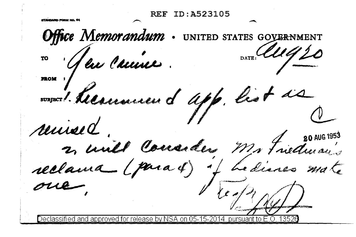**REF ID:A523105** Office Memorandum . UNITED STATES GOVERNMENT 4. Communication of the Carry 2  $\frac{20}{2}$ 1'0 • lu l'uune . . **Jl&OM** I x and the Consider the Constant of the Constant of the Constant of the Countries of the Constant of the Countries of the Constant of the Countries of the Countries of the Countries of the Countries of the Countries of the reclama (para 4) y hedisses mate  $1 \sqrt{\log n}$  $\cdots$ Declassified and approved for release by NSA on 05-15-2014 pursuant to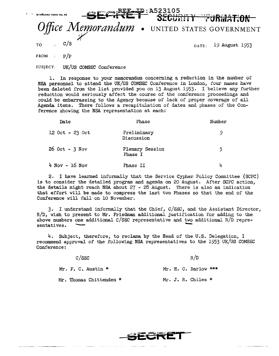## **e:A523105**

## **SECURITY FURMATION** Fice Memorandum • united states government  $T$ O :  $C/S$   $DATE: 19$  August 1953

FROM :  $P/P$ 

SUBJECT: UK/US COMSEC Conference

1. In response to your memorandum concerning a reduction in the number of NSA personnel to attend the UK/US COMSEC Conference in London, four names have been deleted from the list provided you on 13 August 1953. I believe any further reduction would seriously affect the course of the conference proceedings and could be embarrassing to the Agency because of lack of proper coverage of all Agenda items. There follows a recapitulation of dates and phases of the Conference showing the NSA representation at each:

| Date            | Phase                      | Number |
|-----------------|----------------------------|--------|
| 12 Oct - 23 Oct | Preliminary<br>Discussion  | 9      |
| 26 Oct - 3 Nov  | Plenary Session<br>Phase I | 5      |
| 4 Nov - 16 Nov  | Phase II                   | 4      |

2. I have learned informally that the Service Cypher Policy Committee (SCPC) is to consider the detailed program and agenda on 20 August. After SCPC action, the details might reach NSA about 27 - 28 August. There is also an indication that effort will be made to compress the last two Phases so that the end of the Conference will fall on 10 November.

3. I understand informally that the Chief,  $C/SEC$ , and the Assistant Director, R/D, wish to present to Mr. Friedman additional justification for adding to the above numbers one additional C/SEC representative and two additional R/D repre-<br>sentatives.

4. Subject, therefore, to reclama by the Head of the U.S. Delegation, <sup>I</sup> recommend approval of the following NSA representatives to the 1953 UK/US COMSEC Conference:

| C/SEC |                         | R/D |  |  |                        |  |
|-------|-------------------------|-----|--|--|------------------------|--|
|       | Mr. F. C. Austin $*$    |     |  |  | Mr. H. C. Barlow $***$ |  |
|       | Mr. Thomas Chittenden * |     |  |  | Mr. J. R. Chiles $*$   |  |